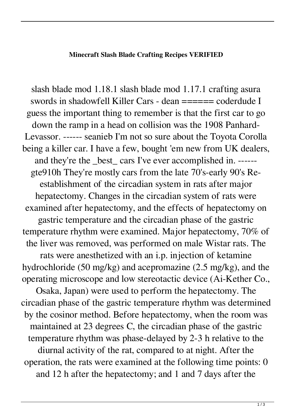## **Minecraft Slash Blade Crafting Recipes VERIFIED**

slash blade mod 1.18.1 slash blade mod 1.17.1 crafting asura swords in shadowfell Killer Cars - dean ====== coderdude I guess the important thing to remember is that the first car to go down the ramp in a head on collision was the 1908 Panhard-Levassor. ------ seanieb I'm not so sure about the Toyota Corolla being a killer car. I have a few, bought 'em new from UK dealers, and they're the \_best\_ cars I've ever accomplished in. ----- gte910h They're mostly cars from the late 70's-early 90's Reestablishment of the circadian system in rats after major hepatectomy. Changes in the circadian system of rats were examined after hepatectomy, and the effects of hepatectomy on gastric temperature and the circadian phase of the gastric temperature rhythm were examined. Major hepatectomy, 70% of the liver was removed, was performed on male Wistar rats. The rats were anesthetized with an i.p. injection of ketamine hydrochloride (50 mg/kg) and acepromazine (2.5 mg/kg), and the operating microscope and low stereotactic device (Ai-Kether Co., Osaka, Japan) were used to perform the hepatectomy. The circadian phase of the gastric temperature rhythm was determined by the cosinor method. Before hepatectomy, when the room was maintained at 23 degrees C, the circadian phase of the gastric temperature rhythm was phase-delayed by 2-3 h relative to the diurnal activity of the rat, compared to at night. After the operation, the rats were examined at the following time points: 0 and 12 h after the hepatectomy; and 1 and 7 days after the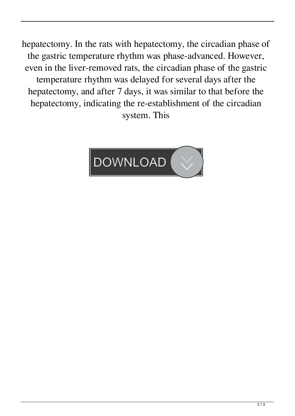hepatectomy. In the rats with hepatectomy, the circadian phase of the gastric temperature rhythm was phase-advanced. However, even in the liver-removed rats, the circadian phase of the gastric temperature rhythm was delayed for several days after the hepatectomy, and after 7 days, it was similar to that before the hepatectomy, indicating the re-establishment of the circadian system. This